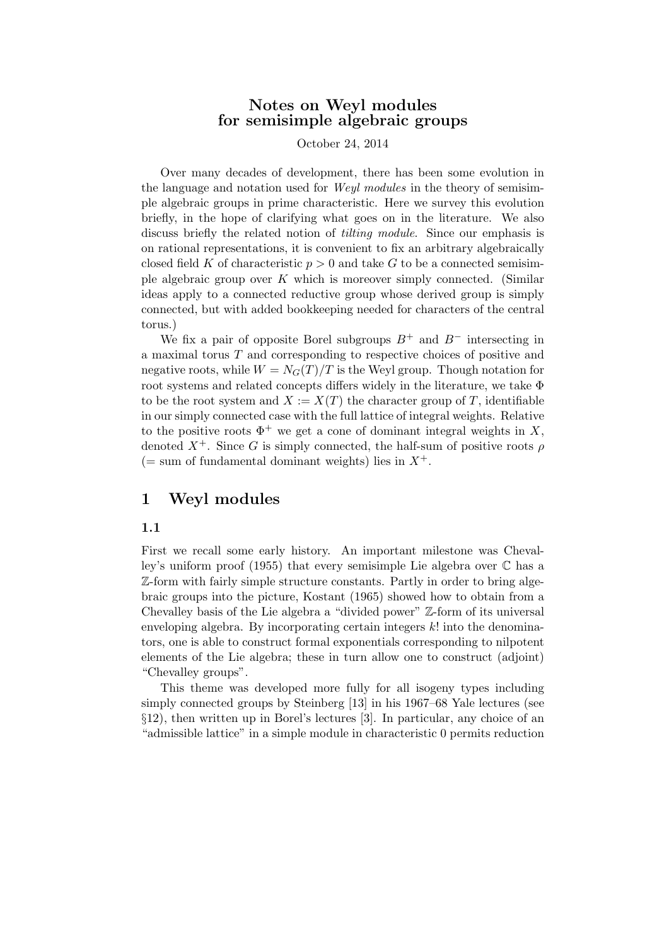# Notes on Weyl modules for semisimple algebraic groups

October 24, 2014

Over many decades of development, there has been some evolution in the language and notation used for Weyl modules in the theory of semisimple algebraic groups in prime characteristic. Here we survey this evolution briefly, in the hope of clarifying what goes on in the literature. We also discuss briefly the related notion of tilting module. Since our emphasis is on rational representations, it is convenient to fix an arbitrary algebraically closed field K of characteristic  $p > 0$  and take G to be a connected semisimple algebraic group over K which is moreover simply connected. (Similar ideas apply to a connected reductive group whose derived group is simply connected, but with added bookkeeping needed for characters of the central torus.)

We fix a pair of opposite Borel subgroups  $B^+$  and  $B^-$  intersecting in a maximal torus T and corresponding to respective choices of positive and negative roots, while  $W = N<sub>G</sub>(T)/T$  is the Weyl group. Though notation for root systems and related concepts differs widely in the literature, we take Φ to be the root system and  $X := X(T)$  the character group of T, identifiable in our simply connected case with the full lattice of integral weights. Relative to the positive roots  $\Phi^+$  we get a cone of dominant integral weights in X, denoted  $X^+$ . Since G is simply connected, the half-sum of positive roots  $\rho$  $($  = sum of fundamental dominant weights) lies in  $X^+$ .

# 1 Weyl modules

#### 1.1

First we recall some early history. An important milestone was Chevalley's uniform proof (1955) that every semisimple Lie algebra over C has a Z-form with fairly simple structure constants. Partly in order to bring algebraic groups into the picture, Kostant (1965) showed how to obtain from a Chevalley basis of the Lie algebra a "divided power" Z-form of its universal enveloping algebra. By incorporating certain integers  $k!$  into the denominators, one is able to construct formal exponentials corresponding to nilpotent elements of the Lie algebra; these in turn allow one to construct (adjoint) "Chevalley groups".

This theme was developed more fully for all isogeny types including simply connected groups by Steinberg [13] in his 1967–68 Yale lectures (see §12), then written up in Borel's lectures [3]. In particular, any choice of an "admissible lattice" in a simple module in characteristic 0 permits reduction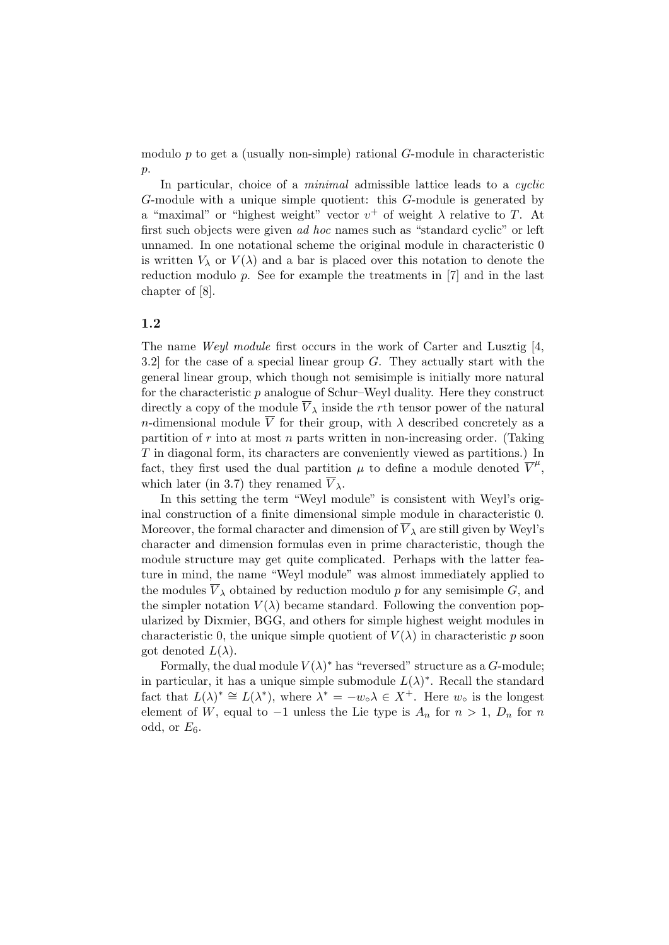modulo  $p$  to get a (usually non-simple) rational  $G$ -module in characteristic  $p$ .

In particular, choice of a *minimal* admissible lattice leads to a *cyclic* G-module with a unique simple quotient: this G-module is generated by a "maximal" or "highest weight" vector  $v^+$  of weight  $\lambda$  relative to T. At first such objects were given ad hoc names such as "standard cyclic" or left unnamed. In one notational scheme the original module in characteristic 0 is written  $V_{\lambda}$  or  $V(\lambda)$  and a bar is placed over this notation to denote the reduction modulo  $p$ . See for example the treatments in  $[7]$  and in the last chapter of [8].

#### 1.2

The name Weyl module first occurs in the work of Carter and Lusztig [4, 3.2] for the case of a special linear group  $G$ . They actually start with the general linear group, which though not semisimple is initially more natural for the characteristic  $p$  analogue of Schur–Weyl duality. Here they construct directly a copy of the module  $\overline{V}_{\lambda}$  inside the rth tensor power of the natural n-dimensional module  $\overline{V}$  for their group, with  $\lambda$  described concretely as a partition of  $r$  into at most  $n$  parts written in non-increasing order. (Taking T in diagonal form, its characters are conveniently viewed as partitions.) In fact, they first used the dual partition  $\mu$  to define a module denoted  $\overline{V}^{\mu}$ , which later (in 3.7) they renamed  $\overline{V}_{\lambda}$ .

In this setting the term "Weyl module" is consistent with Weyl's original construction of a finite dimensional simple module in characteristic 0. Moreover, the formal character and dimension of  $V_{\lambda}$  are still given by Weyl's character and dimension formulas even in prime characteristic, though the module structure may get quite complicated. Perhaps with the latter feature in mind, the name "Weyl module" was almost immediately applied to the modules  $\overline{V}_{\lambda}$  obtained by reduction modulo p for any semisimple G, and the simpler notation  $V(\lambda)$  became standard. Following the convention popularized by Dixmier, BGG, and others for simple highest weight modules in characteristic 0, the unique simple quotient of  $V(\lambda)$  in characteristic p soon got denoted  $L(\lambda)$ .

Formally, the dual module  $V(\lambda)^*$  has "reversed" structure as a G-module; in particular, it has a unique simple submodule  $L(\lambda)^*$ . Recall the standard fact that  $L(\lambda)^* \cong L(\lambda^*)$ , where  $\lambda^* = -w_0\lambda \in X^+$ . Here  $w_0$  is the longest element of W, equal to  $-1$  unless the Lie type is  $A_n$  for  $n > 1$ ,  $D_n$  for n odd, or  $E_6$ .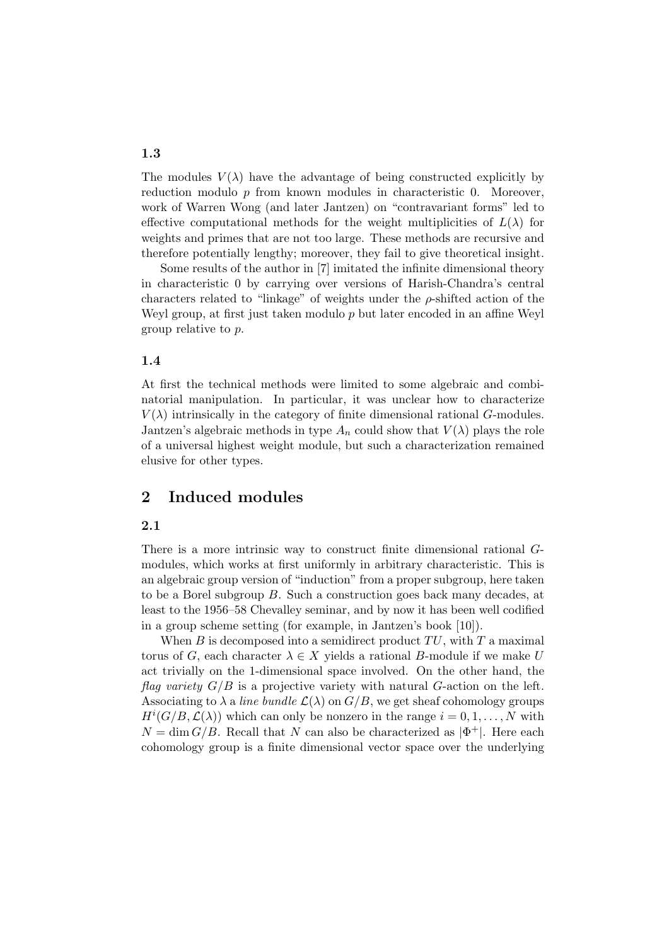The modules  $V(\lambda)$  have the advantage of being constructed explicitly by reduction modulo  $p$  from known modules in characteristic 0. Moreover, work of Warren Wong (and later Jantzen) on "contravariant forms" led to effective computational methods for the weight multiplicities of  $L(\lambda)$  for weights and primes that are not too large. These methods are recursive and therefore potentially lengthy; moreover, they fail to give theoretical insight.

Some results of the author in [7] imitated the infinite dimensional theory in characteristic 0 by carrying over versions of Harish-Chandra's central characters related to "linkage" of weights under the  $\rho$ -shifted action of the Weyl group, at first just taken modulo p but later encoded in an affine Weyl group relative to p.

#### 1.4

At first the technical methods were limited to some algebraic and combinatorial manipulation. In particular, it was unclear how to characterize  $V(\lambda)$  intrinsically in the category of finite dimensional rational G-modules. Jantzen's algebraic methods in type  $A_n$  could show that  $V(\lambda)$  plays the role of a universal highest weight module, but such a characterization remained elusive for other types.

# 2 Induced modules

#### 2.1

There is a more intrinsic way to construct finite dimensional rational Gmodules, which works at first uniformly in arbitrary characteristic. This is an algebraic group version of "induction" from a proper subgroup, here taken to be a Borel subgroup B. Such a construction goes back many decades, at least to the 1956–58 Chevalley seminar, and by now it has been well codified in a group scheme setting (for example, in Jantzen's book [10]).

When B is decomposed into a semidirect product  $TU$ , with T a maximal torus of G, each character  $\lambda \in X$  yields a rational B-module if we make U act trivially on the 1-dimensional space involved. On the other hand, the flag variety  $G/B$  is a projective variety with natural G-action on the left. Associating to  $\lambda$  a line bundle  $\mathcal{L}(\lambda)$  on  $G/B$ , we get sheaf cohomology groups  $H^{i}(G/B, \mathcal{L}(\lambda))$  which can only be nonzero in the range  $i = 0, 1, ..., N$  with  $N = \dim G/B$ . Recall that N can also be characterized as  $|\Phi^+|$ . Here each cohomology group is a finite dimensional vector space over the underlying

### 1.3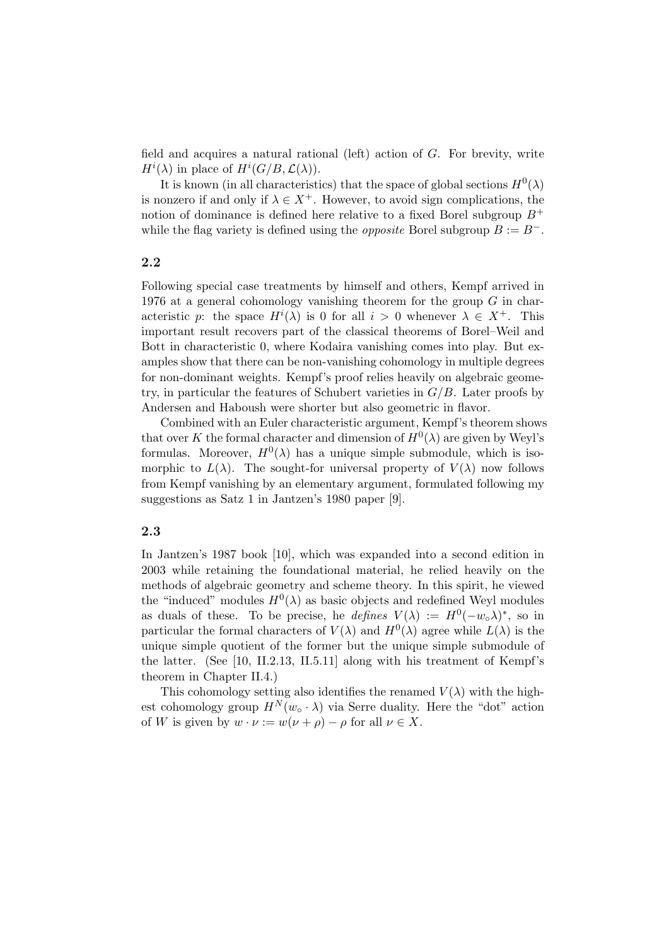field and acquires a natural rational (left) action of G. For brevity, write  $H^i(\lambda)$  in place of  $H^i(G/B, \mathcal{L}(\lambda)).$ 

It is known (in all characteristics) that the space of global sections  $H^0(\lambda)$ is nonzero if and only if  $\lambda \in X^+$ . However, to avoid sign complications, the notion of dominance is defined here relative to a fixed Borel subgroup  $B^+$ while the flag variety is defined using the *opposite* Borel subgroup  $B := B^-$ .

#### 2.2

Following special case treatments by himself and others, Kempf arrived in 1976 at a general cohomology vanishing theorem for the group  $G$  in characteristic p: the space  $H^{i}(\lambda)$  is 0 for all  $i > 0$  whenever  $\lambda \in X^{+}$ . This important result recovers part of the classical theorems of Borel–Weil and Bott in characteristic 0, where Kodaira vanishing comes into play. But examples show that there can be non-vanishing cohomology in multiple degrees for non-dominant weights. Kempf's proof relies heavily on algebraic geometry, in particular the features of Schubert varieties in  $G/B$ . Later proofs by Andersen and Haboush were shorter but also geometric in flavor.

Combined with an Euler characteristic argument, Kempf's theorem shows that over K the formal character and dimension of  $H^0(\lambda)$  are given by Weyl's formulas. Moreover,  $H^0(\lambda)$  has a unique simple submodule, which is isomorphic to  $L(\lambda)$ . The sought-for universal property of  $V(\lambda)$  now follows from Kempf vanishing by an elementary argument, formulated following my suggestions as Satz 1 in Jantzen's 1980 paper [9].

#### 2.3

In Jantzen's 1987 book [10], which was expanded into a second edition in 2003 while retaining the foundational material, he relied heavily on the methods of algebraic geometry and scheme theory. In this spirit, he viewed the "induced" modules  $H^0(\lambda)$  as basic objects and redefined Weyl modules as duals of these. To be precise, he *defines*  $V(\lambda) := H^0(-w_0\lambda)^*$ , so in particular the formal characters of  $V(\lambda)$  and  $H^0(\lambda)$  agree while  $L(\lambda)$  is the unique simple quotient of the former but the unique simple submodule of the latter. (See [10, II.2.13, II.5.11] along with his treatment of Kempf's theorem in Chapter II.4.)

This cohomology setting also identifies the renamed  $V(\lambda)$  with the highest cohomology group  $H^N(w_\circ \cdot \lambda)$  via Serre duality. Here the "dot" action of W is given by  $w \cdot \nu := w(\nu + \rho) - \rho$  for all  $\nu \in X$ .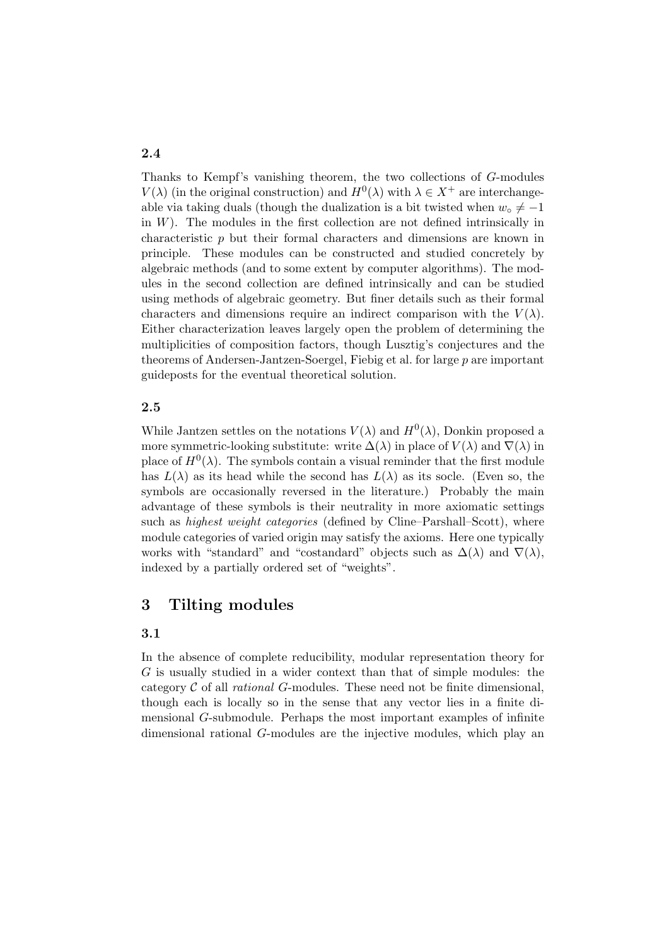Thanks to Kempf's vanishing theorem, the two collections of G-modules  $V(\lambda)$  (in the original construction) and  $H^0(\lambda)$  with  $\lambda \in X^+$  are interchangeable via taking duals (though the dualization is a bit twisted when  $w<sub>o</sub> \neq -1$ in  $W$ ). The modules in the first collection are not defined intrinsically in characteristic p but their formal characters and dimensions are known in principle. These modules can be constructed and studied concretely by algebraic methods (and to some extent by computer algorithms). The modules in the second collection are defined intrinsically and can be studied using methods of algebraic geometry. But finer details such as their formal characters and dimensions require an indirect comparison with the  $V(\lambda)$ . Either characterization leaves largely open the problem of determining the multiplicities of composition factors, though Lusztig's conjectures and the theorems of Andersen-Jantzen-Soergel, Fiebig et al. for large p are important guideposts for the eventual theoretical solution.

#### 2.5

While Jantzen settles on the notations  $V(\lambda)$  and  $H^0(\lambda)$ , Donkin proposed a more symmetric-looking substitute: write  $\Delta(\lambda)$  in place of  $V(\lambda)$  and  $\nabla(\lambda)$  in place of  $H^0(\lambda)$ . The symbols contain a visual reminder that the first module has  $L(\lambda)$  as its head while the second has  $L(\lambda)$  as its socle. (Even so, the symbols are occasionally reversed in the literature.) Probably the main advantage of these symbols is their neutrality in more axiomatic settings such as *highest weight categories* (defined by Cline–Parshall–Scott), where module categories of varied origin may satisfy the axioms. Here one typically works with "standard" and "costandard" objects such as  $\Delta(\lambda)$  and  $\nabla(\lambda)$ , indexed by a partially ordered set of "weights".

# 3 Tilting modules

#### 3.1

In the absence of complete reducibility, modular representation theory for G is usually studied in a wider context than that of simple modules: the category  $C$  of all *rational*  $G$ -modules. These need not be finite dimensional, though each is locally so in the sense that any vector lies in a finite dimensional G-submodule. Perhaps the most important examples of infinite dimensional rational G-modules are the injective modules, which play an

# 2.4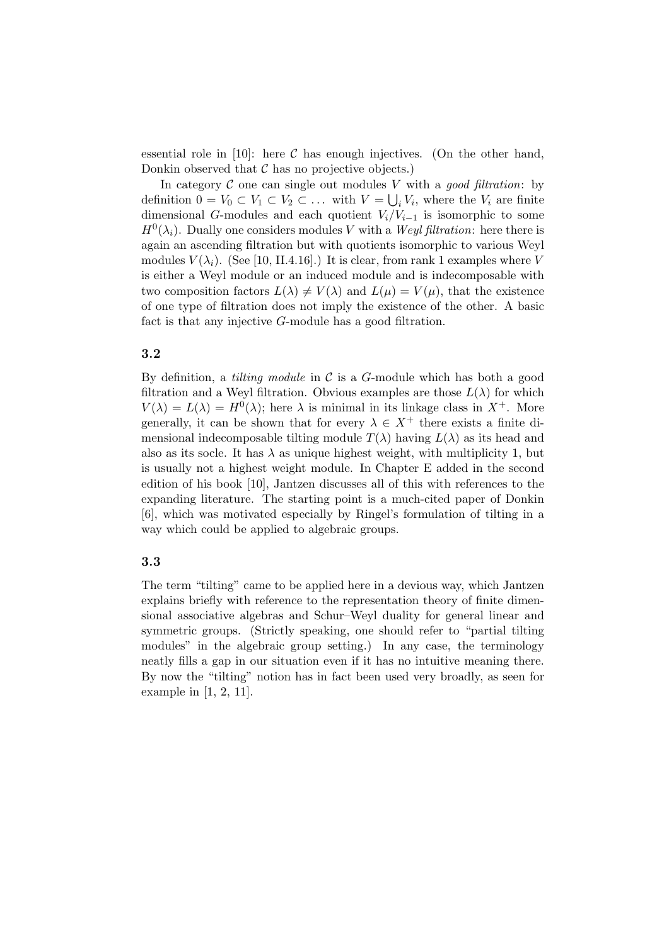essential role in [10]: here  $\mathcal C$  has enough injectives. (On the other hand, Donkin observed that  $\mathcal C$  has no projective objects.)

In category  $\mathcal C$  one can single out modules V with a good filtration: by definition  $0 = V_0 \subset V_1 \subset V_2 \subset \ldots$  with  $V = \bigcup_i V_i$ , where the  $V_i$  are finite dimensional G-modules and each quotient  $V_i/V_{i-1}$  is isomorphic to some  $H^0(\lambda_i)$ . Dually one considers modules V with a Weyl filtration: here there is again an ascending filtration but with quotients isomorphic to various Weyl modules  $V(\lambda_i)$ . (See [10, II.4.16].) It is clear, from rank 1 examples where V is either a Weyl module or an induced module and is indecomposable with two composition factors  $L(\lambda) \neq V(\lambda)$  and  $L(\mu) = V(\mu)$ , that the existence of one type of filtration does not imply the existence of the other. A basic fact is that any injective G-module has a good filtration.

#### 3.2

By definition, a *tilting module* in  $\mathcal C$  is a G-module which has both a good filtration and a Weyl filtration. Obvious examples are those  $L(\lambda)$  for which  $V(\lambda) = L(\lambda) = H^{0}(\lambda)$ ; here  $\lambda$  is minimal in its linkage class in  $X^{+}$ . More generally, it can be shown that for every  $\lambda \in X^+$  there exists a finite dimensional indecomposable tilting module  $T(\lambda)$  having  $L(\lambda)$  as its head and also as its socle. It has  $\lambda$  as unique highest weight, with multiplicity 1, but is usually not a highest weight module. In Chapter E added in the second edition of his book [10], Jantzen discusses all of this with references to the expanding literature. The starting point is a much-cited paper of Donkin [6], which was motivated especially by Ringel's formulation of tilting in a way which could be applied to algebraic groups.

### 3.3

The term "tilting" came to be applied here in a devious way, which Jantzen explains briefly with reference to the representation theory of finite dimensional associative algebras and Schur–Weyl duality for general linear and symmetric groups. (Strictly speaking, one should refer to "partial tilting modules" in the algebraic group setting.) In any case, the terminology neatly fills a gap in our situation even if it has no intuitive meaning there. By now the "tilting" notion has in fact been used very broadly, as seen for example in [1, 2, 11].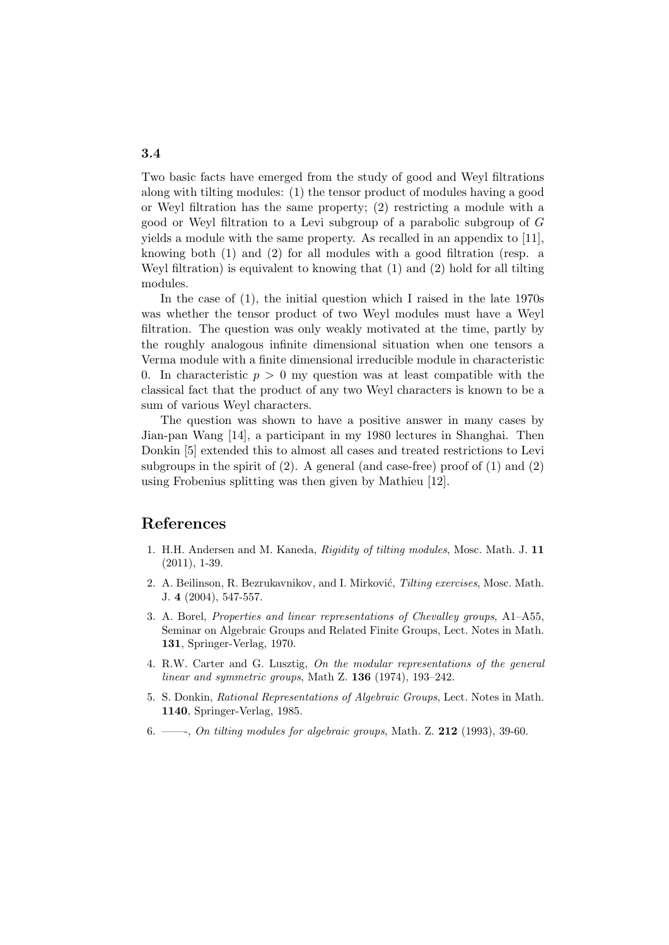Two basic facts have emerged from the study of good and Weyl filtrations along with tilting modules: (1) the tensor product of modules having a good or Weyl filtration has the same property; (2) restricting a module with a good or Weyl filtration to a Levi subgroup of a parabolic subgroup of G yields a module with the same property. As recalled in an appendix to [11], knowing both (1) and (2) for all modules with a good filtration (resp. a Weyl filtration) is equivalent to knowing that (1) and (2) hold for all tilting modules.

In the case of (1), the initial question which I raised in the late 1970s was whether the tensor product of two Weyl modules must have a Weyl filtration. The question was only weakly motivated at the time, partly by the roughly analogous infinite dimensional situation when one tensors a Verma module with a finite dimensional irreducible module in characteristic 0. In characteristic  $p > 0$  my question was at least compatible with the classical fact that the product of any two Weyl characters is known to be a sum of various Weyl characters.

The question was shown to have a positive answer in many cases by Jian-pan Wang [14], a participant in my 1980 lectures in Shanghai. Then Donkin [5] extended this to almost all cases and treated restrictions to Levi subgroups in the spirit of (2). A general (and case-free) proof of (1) and (2) using Frobenius splitting was then given by Mathieu [12].

### References

- 1. H.H. Andersen and M. Kaneda, Rigidity of tilting modules, Mosc. Math. J. 11 (2011), 1-39.
- 2. A. Beilinson, R. Bezrukavnikov, and I. Mirković, Tilting exercises, Mosc. Math. J. 4 (2004), 547-557.
- 3. A. Borel, Properties and linear representations of Chevalley groups, A1–A55, Seminar on Algebraic Groups and Related Finite Groups, Lect. Notes in Math. 131, Springer-Verlag, 1970.
- 4. R.W. Carter and G. Lusztig, On the modular representations of the general linear and symmetric groups, Math Z.  $136$  (1974), 193–242.
- 5. S. Donkin, Rational Representations of Algebraic Groups, Lect. Notes in Math. 1140, Springer-Verlag, 1985.
- 6. ——, On tilting modules for algebraic groups, Math. Z.  $212$  (1993), 39-60.

### 3.4